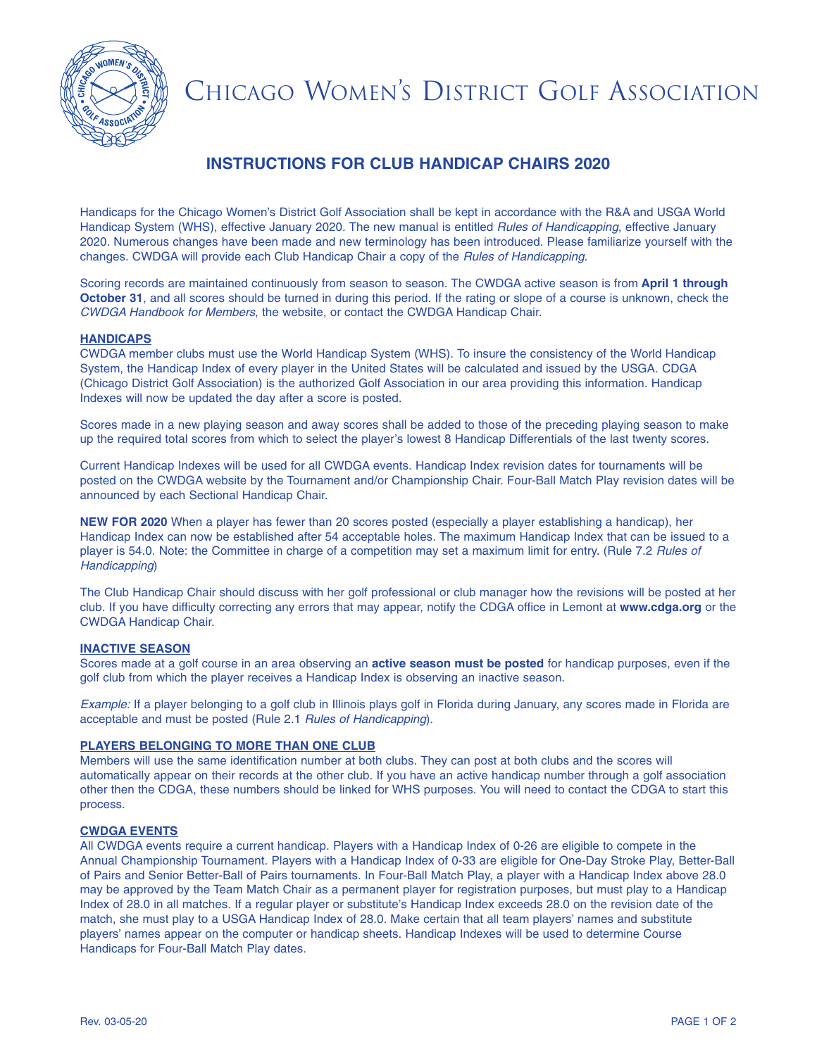

# CHICAGO WOMEN'S DISTRICT GOLF ASSOCIATION

## **INSTRUCTIONS FOR CLUB HANDICAP CHAIRS 2020**

Handicaps for the Chicago Women's District Golf Association shall be kept in accordance with the R&A and USGA World Handicap System (WHS), effective January 2020. The new manual is entitled *Rules of Handicapping*, effective January 2020. Numerous changes have been made and new terminology has been introduced. Please familiarize yourself with the changes. CWDGA will provide each Club Handicap Chair a copy of the *Rules of Handicapping*.

Scoring records are maintained continuously from season to season. The CWDGA active season is from **April 1 through October 31**, and all scores should be turned in during this period. If the rating or slope of a course is unknown, check the *CWDGA Handbook for Members*, the website, or contact the CWDGA Handicap Chair.

#### **HANDICAPS**

CWDGA member clubs must use the World Handicap System (WHS). To insure the consistency of the World Handicap System, the Handicap Index of every player in the United States will be calculated and issued by the USGA. CDGA (Chicago District Golf Association) is the authorized Golf Association in our area providing this information. Handicap Indexes will now be updated the day after a score is posted.

Scores made in a new playing season and away scores shall be added to those of the preceding playing season to make up the required total scores from which to select the player's lowest 8 Handicap Differentials of the last twenty scores.

Current Handicap Indexes will be used for all CWDGA events. Handicap Index revision dates for tournaments will be posted on the CWDGA website by the Tournament and/or Championship Chair. Four-Ball Match Play revision dates will be announced by each Sectional Handicap Chair.

**NEW FOR 2020** When a player has fewer than 20 scores posted (especially a player establishing a handicap), her Handicap Index can now be established after 54 acceptable holes. The maximum Handicap Index that can be issued to a player is 54.0. Note: the Committee in charge of a competition may set a maximum limit for entry. (Rule 7.2 *Rules of Handicapping*)

The Club Handicap Chair should discuss with her golf professional or club manager how the revisions will be posted at her club. If you have difficulty correcting any errors that may appear, notify the CDGA office in Lemont at **www.cdga.org** or the CWDGA Handicap Chair.

#### **INACTIVE SEASON**

Scores made at a golf course in an area observing an **active season must be posted** for handicap purposes, even if the golf club from which the player receives a Handicap Index is observing an inactive season.

*Example:* If a player belonging to a golf club in Illinois plays golf in Florida during January, any scores made in Florida are acceptable and must be posted (Rule 2.1 *Rules of Handicapping*).

#### **PLAYERS BELONGING TO MORE THAN ONE CLUB**

Members will use the same identification number at both clubs. They can post at both clubs and the scores will automatically appear on their records at the other club. If you have an active handicap number through a golf association other then the CDGA, these numbers should be linked for WHS purposes. You will need to contact the CDGA to start this process.

#### **CWDGA EVENTS**

All CWDGA events require a current handicap. Players with a Handicap Index of 0-26 are eligible to compete in the Annual Championship Tournament. Players with a Handicap Index of 0-33 are eligible for One-Day Stroke Play, Better-Ball of Pairs and Senior Better-Ball of Pairs tournaments. In Four-Ball Match Play, a player with a Handicap Index above 28.0 may be approved by the Team Match Chair as a permanent player for registration purposes, but must play to a Handicap Index of 28.0 in all matches. If a regular player or substitute's Handicap Index exceeds 28.0 on the revision date of the match, she must play to a USGA Handicap Index of 28.0. Make certain that all team players' names and substitute players' names appear on the computer or handicap sheets. Handicap Indexes will be used to determine Course Handicaps for Four-Ball Match Play dates.